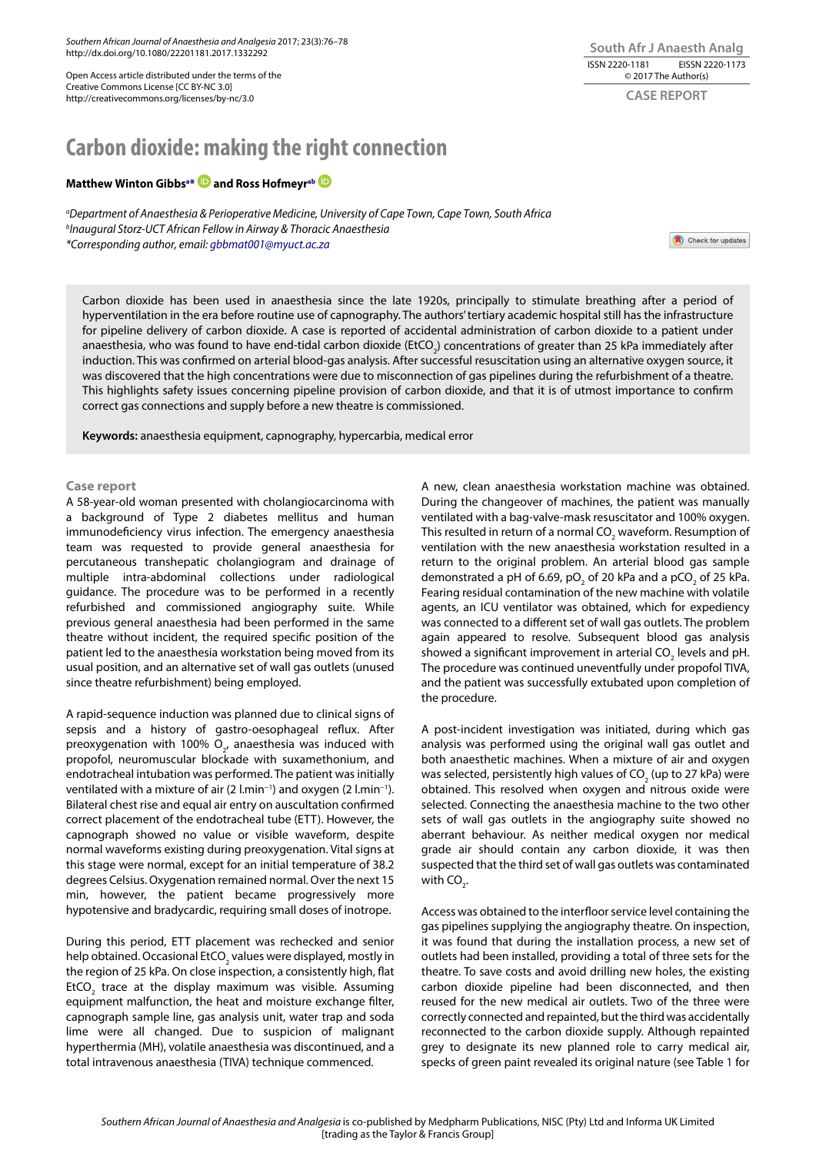*Southern African Journal of Anaesthesia and Analgesia* 2017; 23(3):76–78 http://dx.doi.org/10.1080/22201181.2017.1332292

Open Access article distributed under the terms of the Creative Commons License [CC BY-NC 3.0] http://creativecommons.org/licenses/by-nc/3.0

## **South Afr J Anaesth Analg** ISSN 2220-1181 EISSN 2220-1173 © 2017 The Author(s) **CASE REPORT**

# **Carbon dioxide: making the right connection**

## **Matthew Winton Gibbsa \* and Ross Hofmeyrab**

*a Department of Anaesthesia & Perioperative Medicine, University of Cape Town, Cape Town, South Africa b Inaugural Storz-UCT African Fellow in Airway & Thoracic Anaesthesia \*Corresponding author, email: gbbmat001@myuct.ac.za* 

Check for updates

Carbon dioxide has been used in anaesthesia since the late 1920s, principally to stimulate breathing after a period of hyperventilation in the era before routine use of capnography. The authors' tertiary academic hospital still has the infrastructure for pipeline delivery of carbon dioxide. A case is reported of accidental administration of carbon dioxide to a patient under anaesthesia, who was found to have end-tidal carbon dioxide (EtCO<sub>2</sub>) concentrations of greater than 25 kPa immediately after induction. This was confirmed on arterial blood-gas analysis. After successful resuscitation using an alternative oxygen source, it was discovered that the high concentrations were due to misconnection of gas pipelines during the refurbishment of a theatre. This highlights safety issues concerning pipeline provision of carbon dioxide, and that it is of utmost importance to confirm correct gas connections and supply before a new theatre is commissioned.

**Keywords:** anaesthesia equipment, capnography, hypercarbia, medical error

### **Case report**

A 58-year-old woman presented with cholangiocarcinoma with a background of Type 2 diabetes mellitus and human immunodeficiency virus infection. The emergency anaesthesia team was requested to provide general anaesthesia for percutaneous transhepatic cholangiogram and drainage of multiple intra-abdominal collections under radiological guidance. The procedure was to be performed in a recently refurbished and commissioned angiography suite. While previous general anaesthesia had been performed in the same theatre without incident, the required specific position of the patient led to the anaesthesia workstation being moved from its usual position, and an alternative set of wall gas outlets (unused since theatre refurbishment) being employed.

A rapid-sequence induction was planned due to clinical signs of sepsis and a history of gastro-oesophageal reflux. After preoxygenation with 100%  $O_{2'}$  anaesthesia was induced with propofol, neuromuscular blockade with suxamethonium, and endotracheal intubation was performed. The patient was initially ventilated with a mixture of air (2 l.min−1) and oxygen (2 l.min−1). Bilateral chest rise and equal air entry on auscultation confirmed correct placement of the endotracheal tube (ETT). However, the capnograph showed no value or visible waveform, despite normal waveforms existing during preoxygenation. Vital signs at this stage were normal, except for an initial temperature of 38.2 degrees Celsius. Oxygenation remained normal. Over the next 15 min, however, the patient became progressively more hypotensive and bradycardic, requiring small doses of inotrope.

During this period, ETT placement was rechecked and senior help obtained. Occasional EtCO $_2$  values were displayed, mostly in the region of 25 kPa. On close inspection, a consistently high, flat EtCO<sub>2</sub> trace at the display maximum was visible. Assuming equipment malfunction, the heat and moisture exchange filter, capnograph sample line, gas analysis unit, water trap and soda lime were all changed. Due to suspicion of malignant hyperthermia (MH), volatile anaesthesia was discontinued, and a total intravenous anaesthesia (TIVA) technique commenced.

A new, clean anaesthesia workstation machine was obtained. During the changeover of machines, the patient was manually ventilated with a bag-valve-mask resuscitator and 100% oxygen. This resulted in return of a normal CO $_{\rm 2}$  waveform. Resumption of ventilation with the new anaesthesia workstation resulted in a return to the original problem. An arterial blood gas sample demonstrated a pH of 6.69, pO<sub>2</sub> of 20 kPa and a pCO<sub>2</sub> of 25 kPa. Fearing residual contamination of the new machine with volatile agents, an ICU ventilator was obtained, which for expediency was connected to a different set of wall gas outlets. The problem again appeared to resolve. Subsequent blood gas analysis showed a significant improvement in arterial CO<sub>2</sub> levels and pH. The procedure was continued uneventfully under propofol TIVA, and the patient was successfully extubated upon completion of the procedure.

A post-incident investigation was initiated, during which gas analysis was performed using the original wall gas outlet and both anaesthetic machines. When a mixture of air and oxygen was selected, persistently high values of CO<sub>2</sub> (up to 27 kPa) were obtained. This resolved when oxygen and nitrous oxide were selected. Connecting the anaesthesia machine to the two other sets of wall gas outlets in the angiography suite showed no aberrant behaviour. As neither medical oxygen nor medical grade air should contain any carbon dioxide, it was then suspected that the third set of wall gas outlets was contaminated with  $CO_{2}$ .

Access was obtained to the interfloor service level containing the gas pipelines supplying the angiography theatre. On inspection, it was found that during the installation process, a new set of outlets had been installed, providing a total of three sets for the theatre. To save costs and avoid drilling new holes, the existing carbon dioxide pipeline had been disconnected, and then reused for the new medical air outlets. Two of the three were correctly connected and repainted, but the third was accidentally reconnected to the carbon dioxide supply. Although repainted grey to designate its new planned role to carry medical air, specks of green paint revealed its original nature (see Table 1 for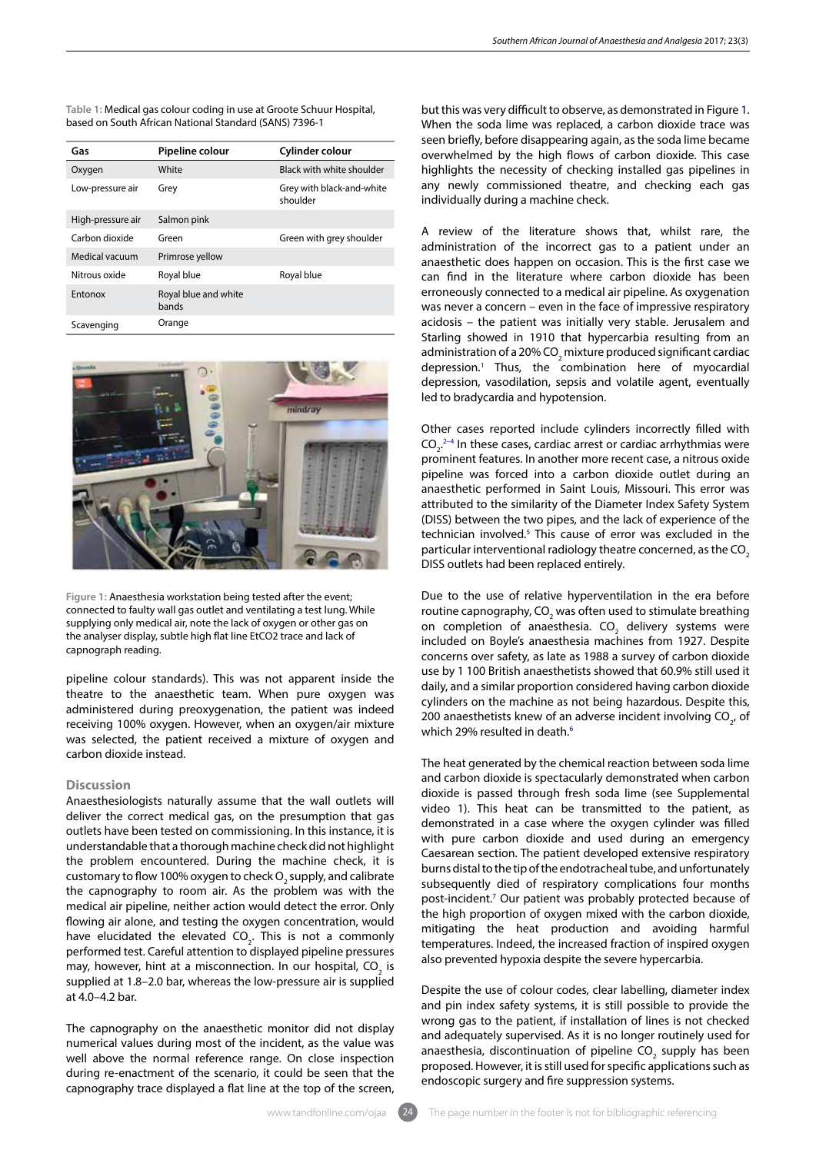**Table 1:** Medical gas colour coding in use at Groote Schuur Hospital, based on South African National Standard (SANS) 7396-1

| Gas               | Pipeline colour               | Cylinder colour                       |
|-------------------|-------------------------------|---------------------------------------|
| Oxygen            | White                         | Black with white shoulder             |
| Low-pressure air  | Grey                          | Grey with black-and-white<br>shoulder |
| High-pressure air | Salmon pink                   |                                       |
| Carbon dioxide    | Green                         | Green with grey shoulder              |
| Medical vacuum    | Primrose yellow               |                                       |
| Nitrous oxide     | Royal blue                    | Royal blue                            |
| <b>Fntonox</b>    | Royal blue and white<br>bands |                                       |
| Scavenging        | Orange                        |                                       |



**Figure 1:** Anaesthesia workstation being tested after the event; connected to faulty wall gas outlet and ventilating a test lung. While supplying only medical air, note the lack of oxygen or other gas on the analyser display, subtle high flat line EtCO2 trace and lack of capnograph reading.

pipeline colour standards). This was not apparent inside the theatre to the anaesthetic team. When pure oxygen was administered during preoxygenation, the patient was indeed receiving 100% oxygen. However, when an oxygen/air mixture was selected, the patient received a mixture of oxygen and carbon dioxide instead.

## **Discussion**

Anaesthesiologists naturally assume that the wall outlets will deliver the correct medical gas, on the presumption that gas outlets have been tested on commissioning. In this instance, it is understandable that a thorough machine check did not highlight the problem encountered. During the machine check, it is customary to flow 100% oxygen to check  $\mathsf{O}_2$  supply, and calibrate the capnography to room air. As the problem was with the medical air pipeline, neither action would detect the error. Only flowing air alone, and testing the oxygen concentration, would have elucidated the elevated  $CO_{2}$ . This is not a commonly performed test. Careful attention to displayed pipeline pressures may, however, hint at a misconnection. In our hospital,  $\mathsf{CO}_2^{}$  is supplied at 1.8–2.0 bar, whereas the low-pressure air is supplied at 4.0–4.2 bar.

The capnography on the anaesthetic monitor did not display numerical values during most of the incident, as the value was well above the normal reference range. On close inspection during re-enactment of the scenario, it could be seen that the capnography trace displayed a flat line at the top of the screen,

but this was very difficult to observe, as demonstrated in Figure 1. When the soda lime was replaced, a carbon dioxide trace was seen briefly, before disappearing again, as the soda lime became overwhelmed by the high flows of carbon dioxide. This case highlights the necessity of checking installed gas pipelines in any newly commissioned theatre, and checking each gas individually during a machine check.

A review of the literature shows that, whilst rare, the administration of the incorrect gas to a patient under an anaesthetic does happen on occasion. This is the first case we can find in the literature where carbon dioxide has been erroneously connected to a medical air pipeline. As oxygenation was never a concern – even in the face of impressive respiratory acidosis – the patient was initially very stable. Jerusalem and Starling showed in 1910 that hypercarbia resulting from an administration of a 20% CO<sub>2</sub> mixture produced significant cardiac depression.1 Thus, the combination here of myocardial depression, vasodilation, sepsis and volatile agent, eventually led to bradycardia and hypotension.

Other cases reported include cylinders incorrectly filled with  $CO<sub>2</sub>$ .<sup>2-4</sup> In these cases, cardiac arrest or cardiac arrhythmias were prominent features. In another more recent case, a nitrous oxide pipeline was forced into a carbon dioxide outlet during an anaesthetic performed in Saint Louis, Missouri. This error was attributed to the similarity of the Diameter Index Safety System (DISS) between the two pipes, and the lack of experience of the technician involved.<sup>5</sup> This cause of error was excluded in the particular interventional radiology theatre concerned, as the CO<sub>2</sub> DISS outlets had been replaced entirely.

Due to the use of relative hyperventilation in the era before routine capnography, CO<sub>2</sub> was often used to stimulate breathing on completion of anaesthesia. CO<sub>2</sub> delivery systems were included on Boyle's anaesthesia machines from 1927. Despite concerns over safety, as late as 1988 a survey of carbon dioxide use by 1 100 British anaesthetists showed that 60.9% still used it daily, and a similar proportion considered having carbon dioxide cylinders on the machine as not being hazardous. Despite this, 200 anaesthetists knew of an adverse incident involving  $CO_{2}$ , of which 29% resulted in death.<sup>6</sup>

The heat generated by the chemical reaction between soda lime and carbon dioxide is spectacularly demonstrated when carbon dioxide is passed through fresh soda lime (see Supplemental video 1). This heat can be transmitted to the patient, as demonstrated in a case where the oxygen cylinder was filled with pure carbon dioxide and used during an emergency Caesarean section. The patient developed extensive respiratory burns distal to the tip of the endotracheal tube, and unfortunately subsequently died of respiratory complications four months post-incident.<sup>7</sup> Our patient was probably protected because of the high proportion of oxygen mixed with the carbon dioxide, mitigating the heat production and avoiding harmful temperatures. Indeed, the increased fraction of inspired oxygen also prevented hypoxia despite the severe hypercarbia.

Despite the use of colour codes, clear labelling, diameter index and pin index safety systems, it is still possible to provide the wrong gas to the patient, if installation of lines is not checked and adequately supervised. As it is no longer routinely used for anaesthesia, discontinuation of pipeline  $CO_2$  supply has been proposed. However, it is still used for specific applications such as endoscopic surgery and fire suppression systems.